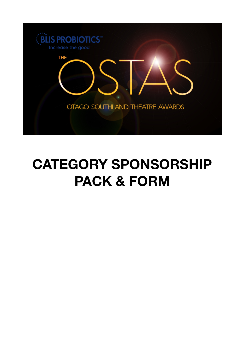

# **CATEGORY SPONSORSHIP PACK & FORM**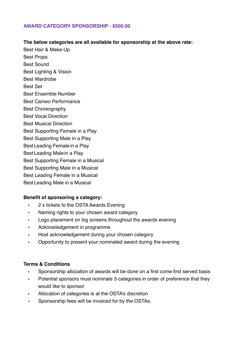## **AWARD CATEGORY SPONSORSHIP - \$500.00**

## **The below categories are all available for sponsorship at the above rate:**

Best Hair & Make-Up Best Props Best Sound Best Lighting & Vision

- 
- Best Wardrobe

Best Set

- Best Ensemble Number
- Best Cameo Performance
- Best Choreography
- Best Vocal Direction
- Best Musical Direction
- Best Supporting Female in a Play
- Best Supporting Male in a Play
- Best Leading Female in a Play
- Best Leading Male in a Play
- Best Supporting Female in a Musical
- Best Supporting Male in a Musical
- Best Leading Female in a Musical
- Best Leading Male in a Musical

## **Benefit of sponsoring a category:**

- 2 x tickets to the OSTA Awards Evening
- Naming rights to your chosen award category
- Logo placement on big screens throughout the awards evening
- Acknowledgement in programme
- Host acknowledgement during your chosen category
- Opportunity to present your nominated award during the evening

## **Terms & Conditions**

- Sponsorship allocation of awards will be done on a first come first served basis
- Potential sponsors must nominate 3 categories in order of preference that they would like to sponsor
- Allocation of categories is at the OSTA's discretion
- Sponsorship fees will be invoiced for by the OSTAs.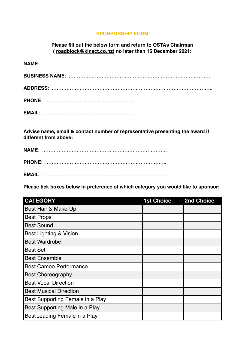## **SPONSORSHIP FORM**

**Please fill out the below form and return to OSTAs Chairman ( [roadblock@kinect.co.nz](mailto:roadblock@kinect.co.nz)) no later than 15 December 2021:**

**Advise name, email & contact number of representative presenting the award if different from above:**

**Please tick boxes below in preference of which category you would like to sponsor:**

| <b>CATEGORY</b>                   | <b>1st Choice</b> | 2nd Choice |
|-----------------------------------|-------------------|------------|
| Best Hair & Make-Up               |                   |            |
| <b>Best Props</b>                 |                   |            |
| <b>Best Sound</b>                 |                   |            |
| <b>Best Lighting &amp; Vision</b> |                   |            |
| <b>Best Wardrobe</b>              |                   |            |
| <b>Best Set</b>                   |                   |            |
| <b>Best Ensemble</b>              |                   |            |
| <b>Best Cameo Performance</b>     |                   |            |
| <b>Best Choreography</b>          |                   |            |
| <b>Best Vocal Direction</b>       |                   |            |
| <b>Best Musical Direction</b>     |                   |            |
| Best Supporting Female in a Play  |                   |            |
| Best Supporting Male in a Play    |                   |            |
| Best Leading Female in a Play     |                   |            |